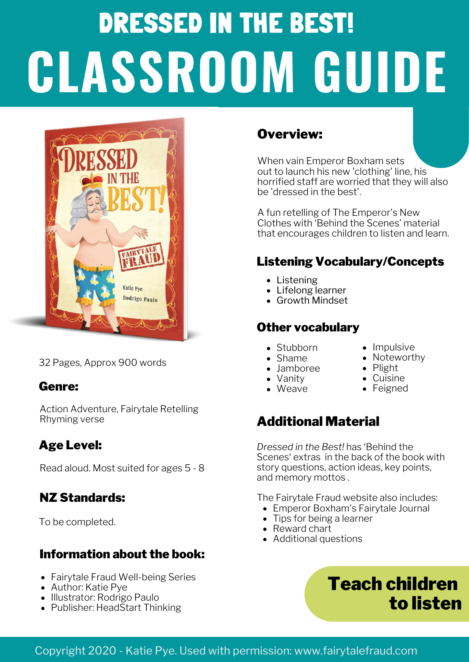# DRESSED IN THE BEST! **CLASSROOM GUIDE**



32 Pages, Approx 900 words

#### Genre:

Action Adventure, Fairytale Retelling Rhyming verse

#### Age Level:

Read aloud. Most suited for ages 5 - 8

#### NZ Standards:

To be completed.

#### Information about the book:

- Fairytale Fraud Well-being Series
- Author: Katie Pye
- Illustrator: Rodrigo Paulo
- Publisher: HeadStart Thinking

#### Overview:

When vain Emperor Boxham sets out to launch his new 'clothing' line, his horrified staff are worried that they will also be 'dressed in the best'.

A fun retelling of The Emperor's New Clothes with 'Behind the Scenes' material that encourages children to listen and learn.

#### Listening Vocabulary/Concepts

 $\bullet$  Impulsive • Noteworthy

 $\bullet$  Plight Cuisine • Feigned

- Listening
- Lifelong learner
- Growth Mindset

#### Other vocabulary

- Stubborn
- Shame
- Jamboree
- Vanity
- Weave
- 

#### Additional Material

*Dressed in the Best!* has 'Behind the Scenes' extras in the back of the book with story questions, action ideas, key points, and memory mottos .

The Fairytale Fraud website also includes:

- Emperor Boxham's Fairytale Journal
- Tips for being a learner
- Reward chart
- Additional questions

# Teach children to listen

#### Copyright 2020 - Katie Pye. Used with permission: www.fairytalefraud.com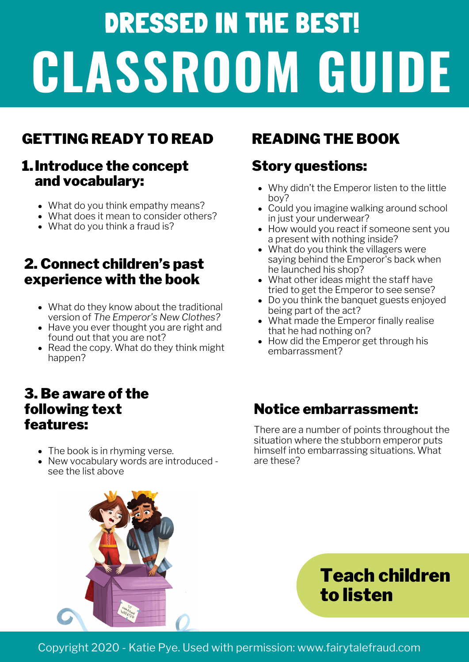# DRESSED IN THE BEST! **CLASSROOM GUIDE**

## GETTING READY TO READ READING THE BOOK

#### Introduce the concept 1. and vocabulary:

- What do you think empathy means?
- What does it mean to consider others?
- What do you think a fraud is?

#### 2. Connect children's past experience with the book

- What do they know about the traditional version of *The Emperor's New Clothes?*
- Have you ever thought you are right and found out that you are not?
- Read the copy. What do they think might happen?

#### 3. Be aware of the following text features:

- The book is in rhyming verse.
- New vocabulary words are introduced see the list above

#### Story questions:

- Why didn't the Emperor listen to the little boy?
- Could you imagine walking around school in just your underwear?
- How would you react if someone sent you a present with nothing inside?
- What do you think the villagers were saying behind the Emperor's back when he launched his shop?
- What other ideas might the staff have tried to get the Emperor to see sense?
- Do you think the banquet guests enjoyed being part of the act?
- What made the Emperor finally realise that he had nothing on?
- How did the Emperor get through his embarrassment?

#### Notice embarrassment:

There are a number of points throughout the situation where the stubborn emperor puts himself into embarrassing situations. What are these?



Teach children to listen

Copyright 2020 - Katie Pye. Used with permission: www.fairytalefraud.com